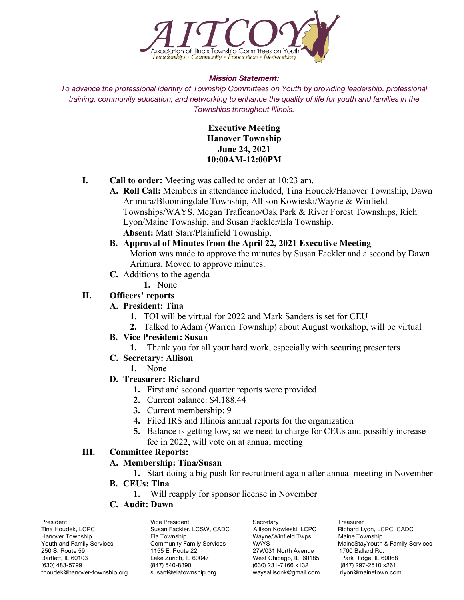

#### *Mission Statement:*

*To advance the professional identity of Township Committees on Youth by providing leadership, professional training, community education, and networking to enhance the quality of life for youth and families in the Townships throughout Illinois.*

> **Executive Meeting Hanover Township June 24, 2021 10:00AM-12:00PM**

- **I. Call to order:** Meeting was called to order at 10:23 am.
	- **A. Roll Call:** Members in attendance included, Tina Houdek/Hanover Township, Dawn Arimura/Bloomingdale Township, Allison Kowieski/Wayne & Winfield Townships/WAYS, Megan Traficano/Oak Park & River Forest Townships, Rich Lyon/Maine Township, and Susan Fackler/Ela Township. **Absent:** Matt Starr/Plainfield Township.
	- **B. Approval of Minutes from the April 22, 2021 Executive Meeting** Motion was made to approve the minutes by Susan Fackler and a second by Dawn Arimura**.** Moved to approve minutes.
	- **C.** Additions to the agenda
		- **1.** None

## **II. Officers' reports**

## **A. President: Tina**

- **1.** TOI will be virtual for 2022 and Mark Sanders is set for CEU
- **2.** Talked to Adam (Warren Township) about August workshop, will be virtual

## **B. Vice President: Susan**

- **1.** Thank you for all your hard work, especially with securing presenters
- **C. Secretary: Allison**
	- **1.** None

# **D. Treasurer: Richard**

- **1.** First and second quarter reports were provided
- **2.** Current balance: \$4,188.44
- **3.** Current membership: 9
- **4.** Filed IRS and Illinois annual reports for the organization
- **5.** Balance is getting low, so we need to charge for CEUs and possibly increase fee in 2022, will vote on at annual meeting

## **III. Committee Reports:**

## **A. Membership: Tina/Susan**

- **1.** Start doing a big push for recruitment again after annual meeting in November
- **B. CEUs: Tina**
	- **1.** Will reapply for sponsor license in November
- **C. Audit: Dawn**

President Vice President Secretary Secretary Treasurer<br>Tina Houdek, LCPC Connect Susan Fackler, LCSW, CADC Allison Kowieski, LCPC Richard L Tina Houdek, LCPC Susan Fackler, LCSW, CADC Allison Kowieski, LCPC Richard Lyon, LCPC, CADC 250 S. Route 59 1 1155 E. Route 22 1157 27W031 North Avenue 1700 Ballard Rd.<br>1700 Bartlett, IL 60103 1990 Lake Zurich, IL 60047 1990 1991 West Chicago, IL 60185 Park Ridge, IL 60068 (630) 483-5799 (847) 540-8390 (630) 231-7166 x132 (847) 297-2510 x261 thoudek@hanover-township.org susanf@elatownship.org waysallisonk@gmail.com rlyon@mainetown.com

Wayne/Winfield Twps. West Chicago, IL 60185

Youth and Family Services Community Family Services WAYS WATHER MaineStayYouth & Family Services<br>250 S. Route 59 155 E. Route 22 27W031 North Avenue 1700 Ballard Rd.